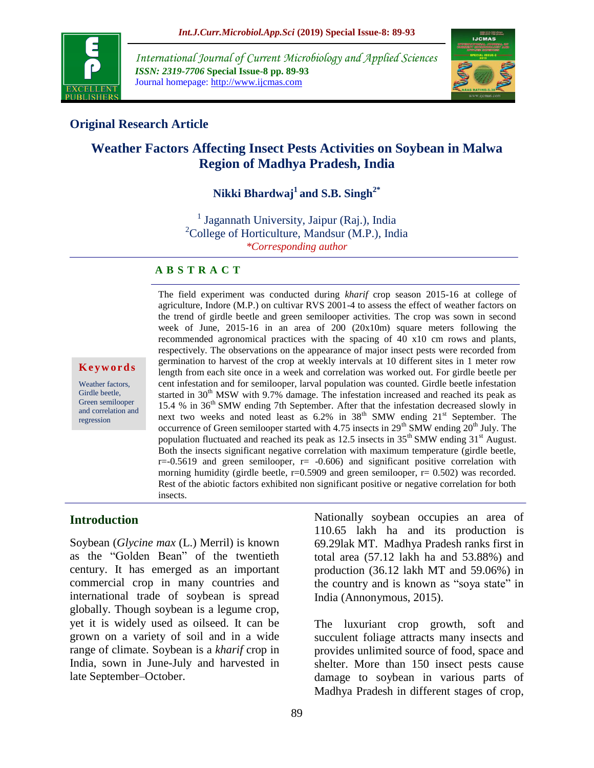

*International Journal of Current Microbiology and Applied Sciences ISSN: 2319-7706* **Special Issue-8 pp. 89-93** Journal homepage: http://www.ijcmas.com



## **Original Research Article**

# **Weather Factors Affecting Insect Pests Activities on Soybean in Malwa Region of Madhya Pradesh, India**

# **Nikki Bhardwaj<sup>1</sup> and S.B. Singh2\***

<sup>1</sup> Jagannath University, Jaipur (Raj.), India  ${}^{2}$ College of Horticulture, Mandsur (M.P.), India *\*Corresponding author* 

#### **A B S T R A C T**

**K e y w o r d s**

Weather factors, Girdle beetle, Green semilooper and correlation and regression

The field experiment was conducted during *kharif* crop season 2015-16 at college of agriculture, Indore (M.P.) on cultivar RVS 2001-4 to assess the effect of weather factors on the trend of girdle beetle and green semilooper activities. The crop was sown in second week of June, 2015-16 in an area of 200 (20x10m) square meters following the recommended agronomical practices with the spacing of 40 x10 cm rows and plants, respectively. The observations on the appearance of major insect pests were recorded from germination to harvest of the crop at weekly intervals at 10 different sites in 1 meter row length from each site once in a week and correlation was worked out. For girdle beetle per cent infestation and for semilooper, larval population was counted. Girdle beetle infestation started in 30<sup>th</sup> MSW with 9.7% damage. The infestation increased and reached its peak as 15.4 % in 36<sup>th</sup> SMW ending 7th September. After that the infestation decreased slowly in next two weeks and noted least as  $6.2\%$  in  $38<sup>th</sup>$  SMW ending  $21<sup>st</sup>$  September. The occurrence of Green semilooper started with 4.75 insects in 29<sup>th</sup> SMW ending 20<sup>th</sup> July. The population fluctuated and reached its peak as 12.5 insects in  $35<sup>th</sup>$  SMW ending  $31<sup>st</sup>$  August. Both the insects significant negative correlation with maximum temperature (girdle beetle,  $r=-0.5619$  and green semilooper,  $r=-0.606$  and significant positive correlation with morning humidity (girdle beetle,  $r=0.5909$  and green semilooper,  $r=0.502$ ) was recorded. Rest of the abiotic factors exhibited non significant positive or negative correlation for both insects.

#### **Introduction**

Soybean (*Glycine max* (L.) Merril) is known as the "Golden Bean" of the twentieth century. It has emerged as an important commercial crop in many countries and international trade of soybean is spread globally. Though soybean is a legume crop, yet it is widely used as oilseed. It can be grown on a variety of soil and in a wide range of climate. Soybean is a *kharif* crop in India, sown in June-July and harvested in late September–October.

Nationally soybean occupies an area of 110.65 lakh ha and its production is 69.29lak MT. Madhya Pradesh ranks first in total area (57.12 lakh ha and 53.88%) and production (36.12 lakh MT and 59.06%) in the country and is known as "soya state" in India (Annonymous, 2015).

The luxuriant crop growth, soft and succulent foliage attracts many insects and provides unlimited source of food, space and shelter. More than 150 insect pests cause damage to soybean in various parts of Madhya Pradesh in different stages of crop,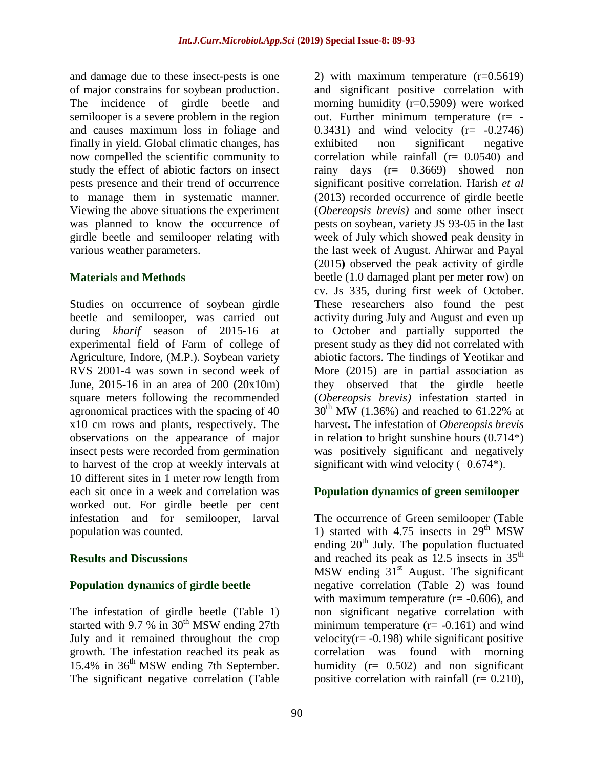and damage due to these insect-pests is one of major constrains for soybean production. The incidence of girdle beetle and semilooper is a severe problem in the region and causes maximum loss in foliage and finally in yield. Global climatic changes, has now compelled the scientific community to study the effect of abiotic factors on insect pests presence and their trend of occurrence to manage them in systematic manner. Viewing the above situations the experiment was planned to know the occurrence of girdle beetle and semilooper relating with various weather parameters.

### **Materials and Methods**

Studies on occurrence of soybean girdle beetle and semilooper, was carried out during *kharif* season of 2015-16 at experimental field of Farm of college of Agriculture, Indore, (M.P.). Soybean variety RVS 2001-4 was sown in second week of June, 2015-16 in an area of 200 (20x10m) square meters following the recommended agronomical practices with the spacing of 40 x10 cm rows and plants, respectively. The observations on the appearance of major insect pests were recorded from germination to harvest of the crop at weekly intervals at 10 different sites in 1 meter row length from each sit once in a week and correlation was worked out. For girdle beetle per cent infestation and for semilooper, larval population was counted.

### **Results and Discussions**

## **Population dynamics of girdle beetle**

The infestation of girdle beetle (Table 1) started with 9.7 % in  $30<sup>th</sup>$  MSW ending 27th July and it remained throughout the crop growth. The infestation reached its peak as 15.4% in 36<sup>th</sup> MSW ending 7th September. The significant negative correlation (Table

2) with maximum temperature (r=0.5619) and significant positive correlation with morning humidity (r=0.5909) were worked out. Further minimum temperature  $(r= (0.3431)$  and wind velocity  $(r= -0.2746)$ exhibited non significant negative correlation while rainfall  $(r= 0.0540)$  and rainy days (r= 0.3669) showed non significant positive correlation. Harish *et al* (2013) recorded occurrence of girdle beetle (*Obereopsis brevis)* and some other insect pests on soybean, variety JS 93-05 in the last week of July which showed peak density in the last week of August. Ahirwar and Payal (2015**)** observed the peak activity of girdle beetle (1.0 damaged plant per meter row) on cv. Js 335, during first week of October. These researchers also found the pest activity during July and August and even up to October and partially supported the present study as they did not correlated with abiotic factors. The findings of Yeotikar and More (2015) are in partial association as they observed that **t**he girdle beetle (*Obereopsis brevis)* infestation started in  $30^{th}$  MW (1.36%) and reached to 61.22% at harvest**.** The infestation of *Obereopsis brevis* in relation to bright sunshine hours (0.714\*) was positively significant and negatively significant with wind velocity  $(-0.674^*)$ .

## **Population dynamics of green semilooper**

The occurrence of Green semilooper (Table 1) started with  $4.75$  insects in  $29<sup>th</sup>$  MSW ending  $20<sup>th</sup>$  July. The population fluctuated and reached its peak as  $12.5$  insects in  $35<sup>th</sup>$ MSW ending  $31<sup>st</sup>$  August. The significant negative correlation (Table 2) was found with maximum temperature  $(r= -0.606)$ , and non significant negative correlation with minimum temperature  $(r = -0.161)$  and wind velocity( $r = -0.198$ ) while significant positive correlation was found with morning humidity  $(r= 0.502)$  and non significant positive correlation with rainfall  $(r= 0.210)$ ,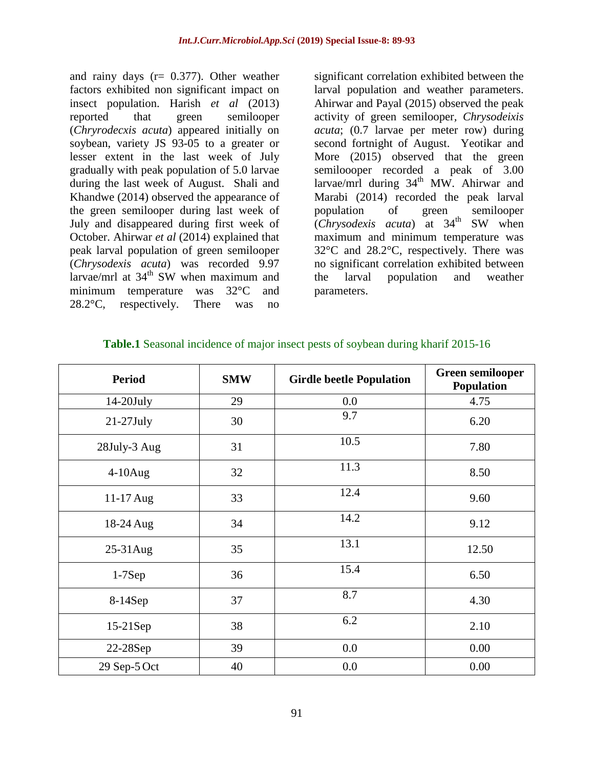and rainy days (r= 0.377). Other weather factors exhibited non significant impact on insect population. Harish *et al* (2013) reported that green semilooper (*Chryrodecxis acuta*) appeared initially on soybean, variety JS 93-05 to a greater or lesser extent in the last week of July gradually with peak population of 5.0 larvae during the last week of August. Shali and Khandwe (2014) observed the appearance of the green semilooper during last week of July and disappeared during first week of October. Ahirwar *et al* (2014) explained that peak larval population of green semilooper (*Chrysodexis acuta*) was recorded 9.97 larvae/mrl at  $34<sup>th</sup>$  SW when maximum and minimum temperature was 32°C and 28.2°C, respectively. There was no

significant correlation exhibited between the larval population and weather parameters. Ahirwar and Payal (2015) observed the peak activity of green semilooper*, Chrysodeixis acuta*; (0.7 larvae per meter row) during second fortnight of August. Yeotikar and More (2015) observed that the green semiloooper recorded a peak of 3.00 larvae/mrl during  $34<sup>th</sup>$  MW. Ahirwar and Marabi (2014) recorded the peak larval population of green semilooper (*Chrysodexis acuta*) at 34th SW when maximum and minimum temperature was 32°C and 28.2°C, respectively. There was no significant correlation exhibited between the larval population and weather parameters.

| <b>Period</b> | <b>SMW</b> | <b>Girdle beetle Population</b> | <b>Green semilooper</b><br><b>Population</b> |
|---------------|------------|---------------------------------|----------------------------------------------|
| $14-20$ July  | 29         | 0.0                             | 4.75                                         |
| $21-27$ July  | 30         | 9.7                             | 6.20                                         |
| 28July-3 Aug  | 31         | 10.5                            | 7.80                                         |
| $4-10$ Aug    | 32         | 11.3                            | 8.50                                         |
| 11-17 Aug     | 33         | 12.4                            | 9.60                                         |
| 18-24 Aug     | 34         | 14.2                            | 9.12                                         |
| 25-31Aug      | 35         | 13.1                            | 12.50                                        |
| $1-7$ Sep     | 36         | 15.4                            | 6.50                                         |
| 8-14Sep       | 37         | 8.7                             | 4.30                                         |
| $15-21$ Sep   | 38         | 6.2                             | 2.10                                         |
| 22-28Sep      | 39         | 0.0                             | 0.00                                         |
| 29 Sep-5 Oct  | 40         | 0.0                             | 0.00                                         |

### **Table.1** Seasonal incidence of major insect pests of soybean during kharif 2015-16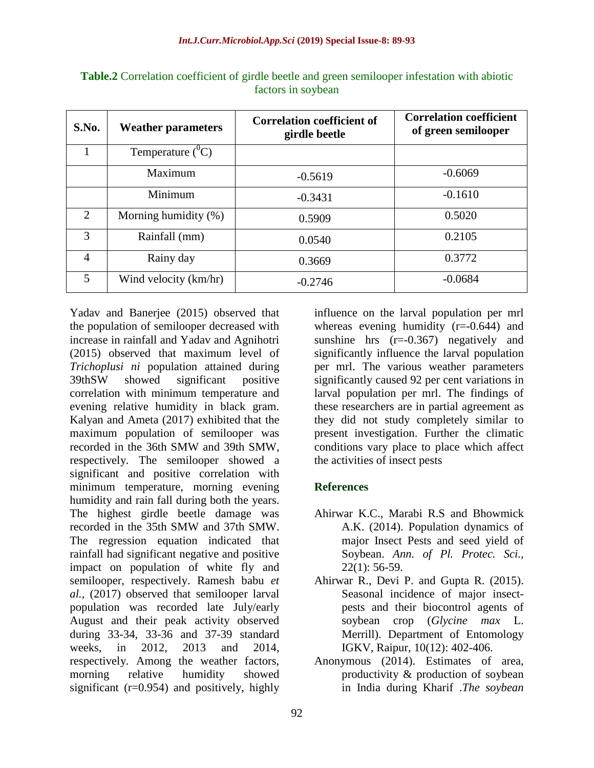| S.No.          | <b>Weather parameters</b> | <b>Correlation coefficient of</b><br>girdle beetle | <b>Correlation coefficient</b><br>of green semilooper |
|----------------|---------------------------|----------------------------------------------------|-------------------------------------------------------|
|                | Temperature $(^0C)$       |                                                    |                                                       |
|                | Maximum                   | $-0.5619$                                          | $-0.6069$                                             |
|                | Minimum                   | $-0.3431$                                          | $-0.1610$                                             |
| $\overline{2}$ | Morning humidity (%)      | 0.5909                                             | 0.5020                                                |
| 3              | Rainfall (mm)             | 0.0540                                             | 0.2105                                                |
| $\overline{4}$ | Rainy day                 | 0.3669                                             | 0.3772                                                |
| 5              | Wind velocity (km/hr)     | $-0.2746$                                          | $-0.0684$                                             |

**Table.2** Correlation coefficient of girdle beetle and green semilooper infestation with abiotic factors in soybean

Yadav and Banerjee (2015) observed that the population of semilooper decreased with increase in rainfall and Yadav and Agnihotri (2015) observed that maximum level of *Trichoplusi ni* population attained during 39thSW showed significant positive correlation with minimum temperature and evening relative humidity in black gram. Kalyan and Ameta (2017) exhibited that the maximum population of semilooper was recorded in the 36th SMW and 39th SMW, respectively. The semilooper showed a significant and positive correlation with minimum temperature, morning evening humidity and rain fall during both the years. The highest girdle beetle damage was recorded in the 35th SMW and 37th SMW. The regression equation indicated that rainfall had significant negative and positive impact on population of white fly and semilooper, respectively. Ramesh babu *et al.,* (2017) observed that semilooper larval population was recorded late July/early August and their peak activity observed during 33-34, 33-36 and 37-39 standard weeks, in 2012, 2013 and 2014, respectively. Among the weather factors, morning relative humidity showed significant (r=0.954) and positively, highly

influence on the larval population per mrl whereas evening humidity  $(r=0.644)$  and sunshine hrs (r=-0.367) negatively and significantly influence the larval population per mrl. The various weather parameters significantly caused 92 per cent variations in larval population per mrl. The findings of these researchers are in partial agreement as they did not study completely similar to present investigation. Further the climatic conditions vary place to place which affect the activities of insect pests

## **References**

- Ahirwar K.C., Marabi R.S and Bhowmick A.K. (2014). Population dynamics of major Insect Pests and seed yield of Soybean. *Ann. of Pl. Protec. Sci.,*  $22(1)$ : 56-59.
- Ahirwar R., Devi P. and Gupta R. (2015). Seasonal incidence of major insectpests and their biocontrol agents of soybean crop (*Glycine max* L. Merrill). Department of Entomology IGKV, Raipur, 10(12): 402-406.
- Anonymous (2014). Estimates of area, productivity & production of soybean in India during Kharif .*The soybean*